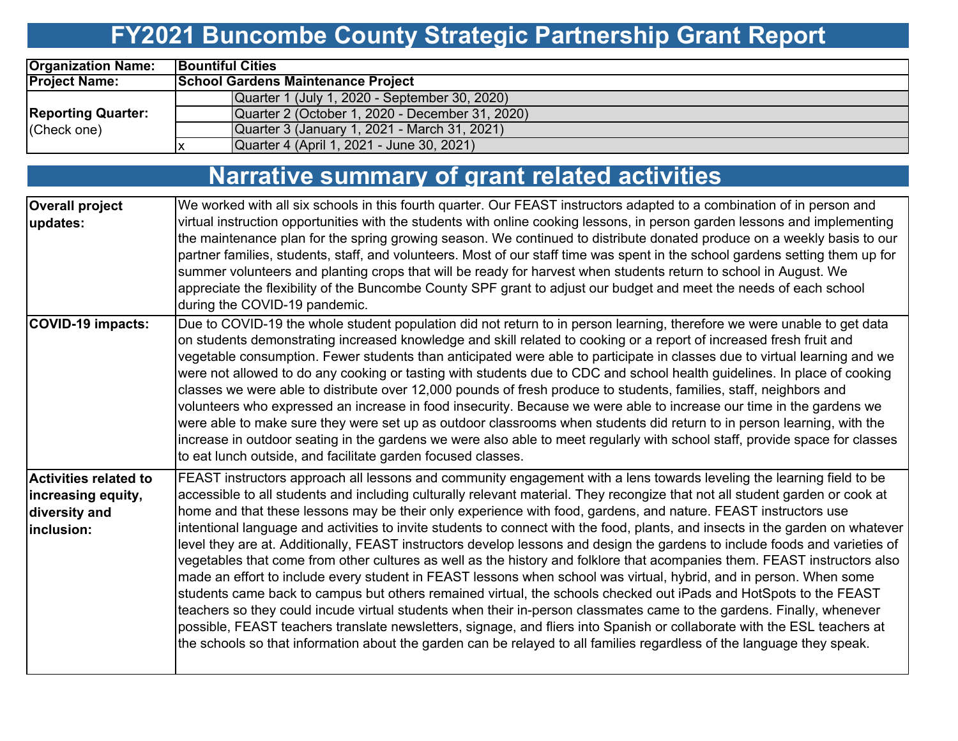# **FY2021 Buncombe County Strategic Partnership Grant Report**

| <b>Organization Name:</b> | <b>Bountiful Cities</b>                         |
|---------------------------|-------------------------------------------------|
| <b>Project Name:</b>      | <b>School Gardens Maintenance Project</b>       |
|                           | Quarter 1 (July 1, 2020 - September 30, 2020)   |
| <b>Reporting Quarter:</b> | Quarter 2 (October 1, 2020 - December 31, 2020) |
| (Check one)               | Quarter 3 (January 1, 2021 - March 31, 2021)    |
|                           | Quarter 4 (April 1, 2021 - June 30, 2021)       |

### **Narrative summary of grant related activities**

| <b>Overall project</b><br>updates:                                                 | We worked with all six schools in this fourth quarter. Our FEAST instructors adapted to a combination of in person and<br>virtual instruction opportunities with the students with online cooking lessons, in person garden lessons and implementing<br>the maintenance plan for the spring growing season. We continued to distribute donated produce on a weekly basis to our<br>partner families, students, staff, and volunteers. Most of our staff time was spent in the school gardens setting them up for<br>summer volunteers and planting crops that will be ready for harvest when students return to school in August. We<br>appreciate the flexibility of the Buncombe County SPF grant to adjust our budget and meet the needs of each school<br>during the COVID-19 pandemic.                                                                                                                                                                                                                                                                                                                                                                                                                                                                                                                                                                                                     |
|------------------------------------------------------------------------------------|-------------------------------------------------------------------------------------------------------------------------------------------------------------------------------------------------------------------------------------------------------------------------------------------------------------------------------------------------------------------------------------------------------------------------------------------------------------------------------------------------------------------------------------------------------------------------------------------------------------------------------------------------------------------------------------------------------------------------------------------------------------------------------------------------------------------------------------------------------------------------------------------------------------------------------------------------------------------------------------------------------------------------------------------------------------------------------------------------------------------------------------------------------------------------------------------------------------------------------------------------------------------------------------------------------------------------------------------------------------------------------------------------|
| <b>COVID-19 impacts:</b>                                                           | Due to COVID-19 the whole student population did not return to in person learning, therefore we were unable to get data<br>on students demonstrating increased knowledge and skill related to cooking or a report of increased fresh fruit and<br>vegetable consumption. Fewer students than anticipated were able to participate in classes due to virtual learning and we<br>were not allowed to do any cooking or tasting with students due to CDC and school health guidelines. In place of cooking<br>classes we were able to distribute over 12,000 pounds of fresh produce to students, families, staff, neighbors and<br>volunteers who expressed an increase in food insecurity. Because we were able to increase our time in the gardens we<br>were able to make sure they were set up as outdoor classrooms when students did return to in person learning, with the<br>increase in outdoor seating in the gardens we were also able to meet regularly with school staff, provide space for classes<br>to eat lunch outside, and facilitate garden focused classes.                                                                                                                                                                                                                                                                                                                  |
| <b>Activities related to</b><br>increasing equity,<br>diversity and<br>linclusion: | FEAST instructors approach all lessons and community engagement with a lens towards leveling the learning field to be<br>accessible to all students and including culturally relevant material. They recongize that not all student garden or cook at<br>home and that these lessons may be their only experience with food, gardens, and nature. FEAST instructors use<br>intentional language and activities to invite students to connect with the food, plants, and insects in the garden on whatever<br>level they are at. Additionally, FEAST instructors develop lessons and design the gardens to include foods and varieties of<br>vegetables that come from other cultures as well as the history and folklore that acompanies them. FEAST instructors also<br>made an effort to include every student in FEAST lessons when school was virtual, hybrid, and in person. When some<br>students came back to campus but others remained virtual, the schools checked out iPads and HotSpots to the FEAST<br>teachers so they could incude virtual students when their in-person classmates came to the gardens. Finally, whenever<br>possible, FEAST teachers translate newsletters, signage, and fliers into Spanish or collaborate with the ESL teachers at<br>the schools so that information about the garden can be relayed to all families regardless of the language they speak. |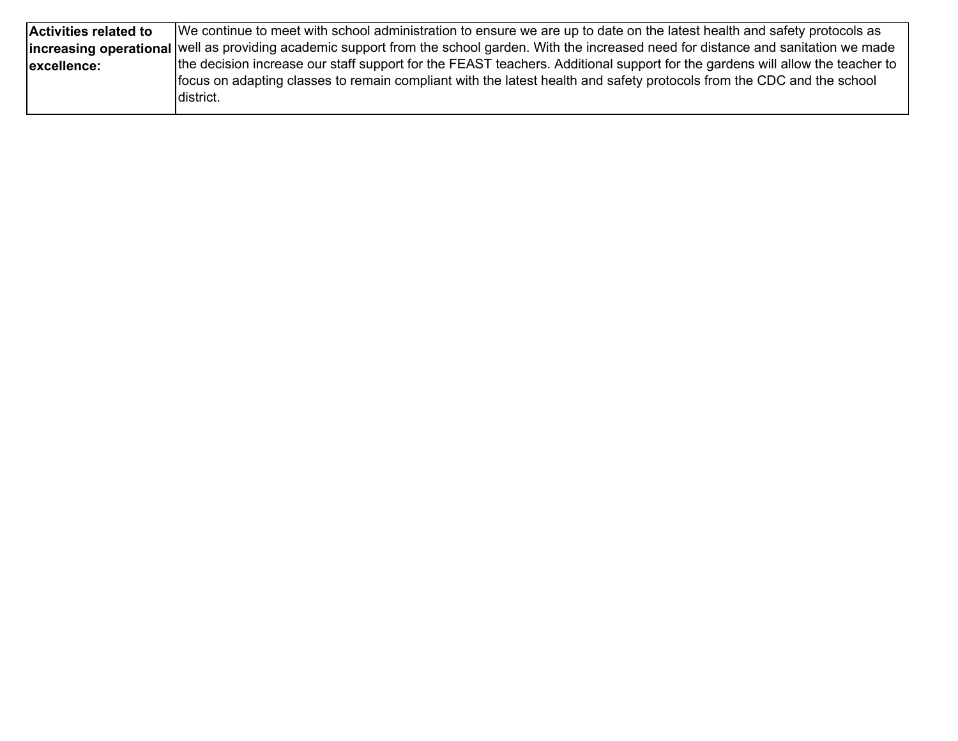| Activities related to | We continue to meet with school administration to ensure we are up to date on the latest health and safety protocols as                              |
|-----------------------|------------------------------------------------------------------------------------------------------------------------------------------------------|
|                       | <b>increasing operational</b> well as providing academic support from the school garden. With the increased need for distance and sanitation we made |
| excellence:           | the decision increase our staff support for the FEAST teachers. Additional support for the gardens will allow the teacher to                         |
|                       | focus on adapting classes to remain compliant with the latest health and safety protocols from the CDC and the school                                |
|                       | Idistrict.                                                                                                                                           |
|                       |                                                                                                                                                      |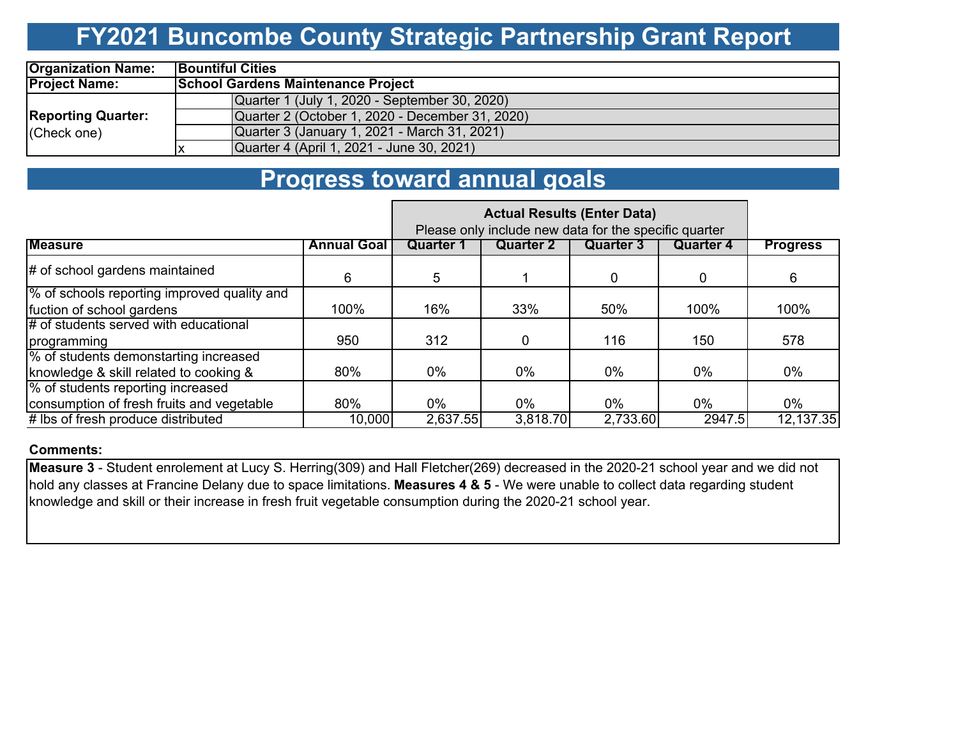## **FY2021 Buncombe County Strategic Partnership Grant Report**

| <b>Organization Name:</b> | <b>Bountiful Cities</b> |                                                 |  |  |  |  |  |  |  |  |  |  |
|---------------------------|-------------------------|-------------------------------------------------|--|--|--|--|--|--|--|--|--|--|
| <b>Project Name:</b>      |                         | <b>School Gardens Maintenance Project</b>       |  |  |  |  |  |  |  |  |  |  |
|                           |                         | Quarter 1 (July 1, 2020 - September 30, 2020)   |  |  |  |  |  |  |  |  |  |  |
| <b>Reporting Quarter:</b> |                         | Quarter 2 (October 1, 2020 - December 31, 2020) |  |  |  |  |  |  |  |  |  |  |
| (Check one)               |                         | Quarter 3 (January 1, 2021 - March 31, 2021)    |  |  |  |  |  |  |  |  |  |  |
|                           |                         | Quarter 4 (April 1, 2021 - June 30, 2021)       |  |  |  |  |  |  |  |  |  |  |

### **Progress toward annual goals**

|                                             |                    | <b>Actual Results (Enter Data)</b><br>Please only include new data for the specific quarter |           |                  |           |                 |
|---------------------------------------------|--------------------|---------------------------------------------------------------------------------------------|-----------|------------------|-----------|-----------------|
| <b>Measure</b>                              | <b>Annual Goal</b> | Quarter 1                                                                                   | Quarter 2 | <b>Quarter</b> 3 | Quarter 4 | <b>Progress</b> |
| # of school gardens maintained              | 6                  | 5                                                                                           |           | 0                | 0         | 6               |
| % of schools reporting improved quality and |                    |                                                                                             |           |                  |           |                 |
| fuction of school gardens                   | 100%               | 16%                                                                                         | 33%       | 50%              | 100%      | 100%            |
| $#$ of students served with educational     |                    |                                                                                             |           |                  |           |                 |
| programming                                 | 950                | 312                                                                                         | 0         | 116              | 150       | 578             |
| % of students demonstarting increased       |                    |                                                                                             |           |                  |           |                 |
| knowledge & skill related to cooking &      | 80%                | $0\%$                                                                                       | 0%        | $0\%$            | 0%        | $0\%$           |
| % of students reporting increased           |                    |                                                                                             |           |                  |           |                 |
| consumption of fresh fruits and vegetable   | 80%                | $0\%$                                                                                       | $0\%$     | $0\%$            | $0\%$     | $0\%$           |
| # lbs of fresh produce distributed          | 10,000             | 2,637.55                                                                                    | 3,818.70  | 2,733.60         | 2947.5    | 12,137.35       |

#### **Comments:**

**Measure 3** - Student enrolement at Lucy S. Herring(309) and Hall Fletcher(269) decreased in the 2020-21 school year and we did not hold any classes at Francine Delany due to space limitations. **Measures 4 & 5** - We were unable to collect data regarding student knowledge and skill or their increase in fresh fruit vegetable consumption during the 2020-21 school year.